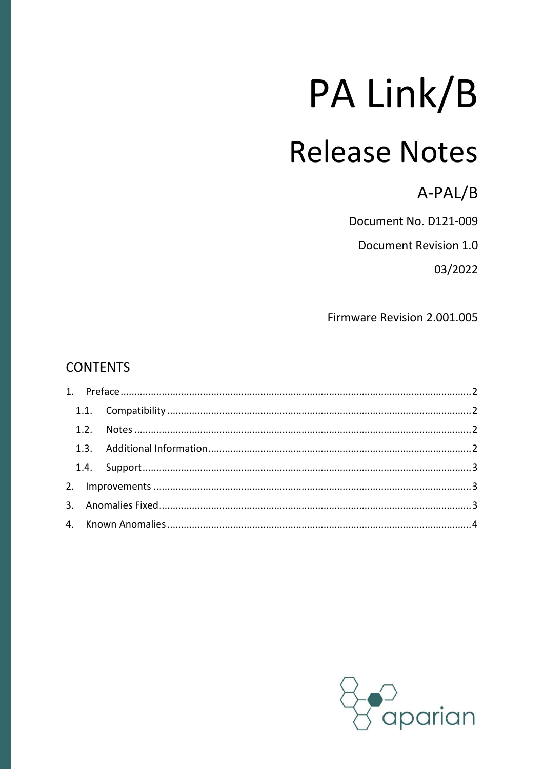# PA Link/B

# **Release Notes**

A-PAL/B

Document No. D121-009

Document Revision 1.0

03/2022

Firmware Revision 2.001.005

#### **CONTENTS**

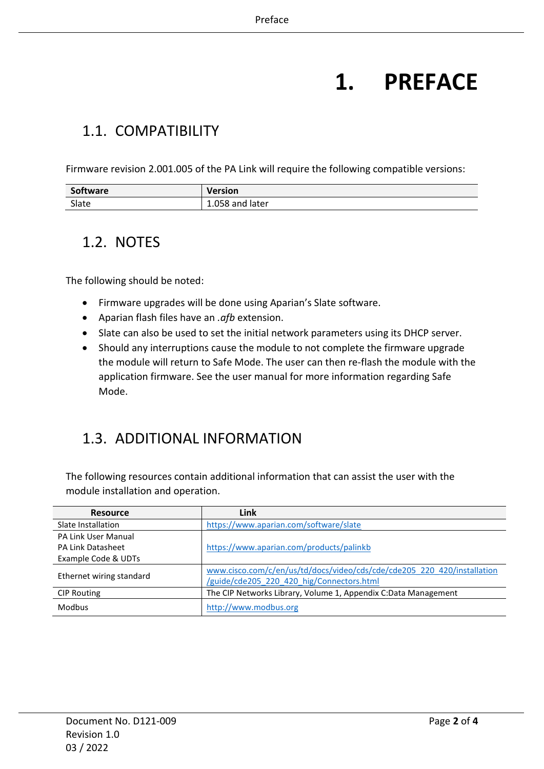# **1. PREFACE**

#### <span id="page-1-1"></span><span id="page-1-0"></span>1.1. COMPATIBILITY

Firmware revision 2.001.005 of the PA Link will require the following compatible versions:

| Software | <b>Version</b>  |
|----------|-----------------|
| Slate    | 1.058 and later |

#### <span id="page-1-2"></span>1.2. NOTES

The following should be noted:

- Firmware upgrades will be done using Aparian's Slate software.
- Aparian flash files have an *.afb* extension.
- Slate can also be used to set the initial network parameters using its DHCP server.
- Should any interruptions cause the module to not complete the firmware upgrade the module will return to Safe Mode. The user can then re-flash the module with the application firmware. See the user manual for more information regarding Safe Mode.

#### <span id="page-1-3"></span>1.3. ADDITIONAL INFORMATION

The following resources contain additional information that can assist the user with the module installation and operation.

| <b>Resource</b>            | Link                                                                    |
|----------------------------|-------------------------------------------------------------------------|
| Slate Installation         | https://www.aparian.com/software/slate                                  |
| <b>PA Link User Manual</b> |                                                                         |
| <b>PA Link Datasheet</b>   | https://www.aparian.com/products/palinkb                                |
| Example Code & UDTs        |                                                                         |
|                            | www.cisco.com/c/en/us/td/docs/video/cds/cde/cde205_220_420/installation |
| Ethernet wiring standard   | /guide/cde205 220 420 hig/Connectors.html                               |
| <b>CIP Routing</b>         | The CIP Networks Library, Volume 1, Appendix C:Data Management          |
| <b>Modbus</b>              | http://www.modbus.org                                                   |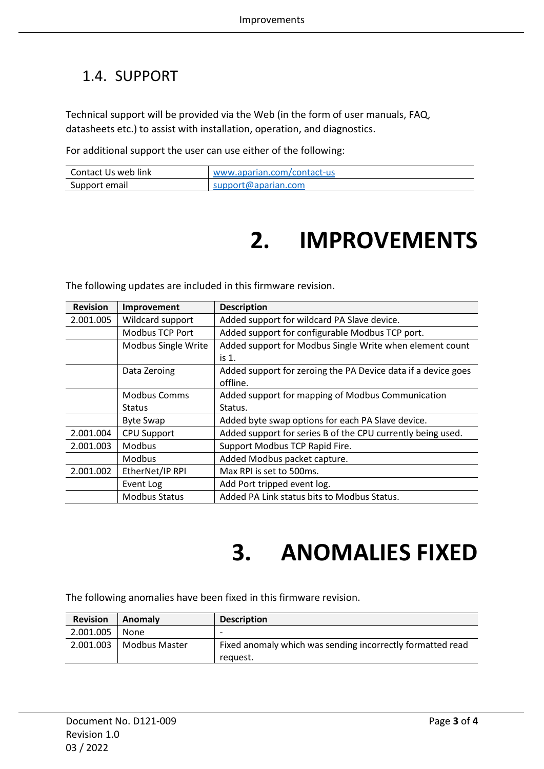#### <span id="page-2-0"></span>1.4. SUPPORT

Technical support will be provided via the Web (in the form of user manuals, FAQ, datasheets etc.) to assist with installation, operation, and diagnostics.

For additional support the user can use either of the following:

<span id="page-2-1"></span>

| Contact Us web link | www.aparian.com/contact-us |
|---------------------|----------------------------|
| Support email       | support@aparian.com        |

# **2. IMPROVEMENTS**

The following updates are included in this firmware revision.

| <b>Revision</b> | Improvement            | <b>Description</b>                                            |
|-----------------|------------------------|---------------------------------------------------------------|
| 2.001.005       | Wildcard support       | Added support for wildcard PA Slave device.                   |
|                 | <b>Modbus TCP Port</b> | Added support for configurable Modbus TCP port.               |
|                 | Modbus Single Write    | Added support for Modbus Single Write when element count      |
|                 |                        | is 1.                                                         |
|                 | Data Zeroing           | Added support for zeroing the PA Device data if a device goes |
|                 |                        | offline.                                                      |
|                 | <b>Modbus Comms</b>    | Added support for mapping of Modbus Communication             |
|                 | <b>Status</b>          | Status.                                                       |
|                 | <b>Byte Swap</b>       | Added byte swap options for each PA Slave device.             |
| 2.001.004       | <b>CPU Support</b>     | Added support for series B of the CPU currently being used.   |
| 2.001.003       | <b>Modbus</b>          | Support Modbus TCP Rapid Fire.                                |
|                 | <b>Modbus</b>          | Added Modbus packet capture.                                  |
| 2.001.002       | EtherNet/IP RPI        | Max RPI is set to 500ms.                                      |
|                 | Event Log              | Add Port tripped event log.                                   |
|                 | <b>Modbus Status</b>   | Added PA Link status bits to Modbus Status.                   |

## **3. ANOMALIES FIXED**

<span id="page-2-2"></span>The following anomalies have been fixed in this firmware revision.

| <b>Revision</b> | Anomaly                     | <b>Description</b>                                                     |
|-----------------|-----------------------------|------------------------------------------------------------------------|
| 2.001.005       | None                        | $\overline{\phantom{0}}$                                               |
|                 | $2.001.003$   Modbus Master | Fixed anomaly which was sending incorrectly formatted read<br>request. |